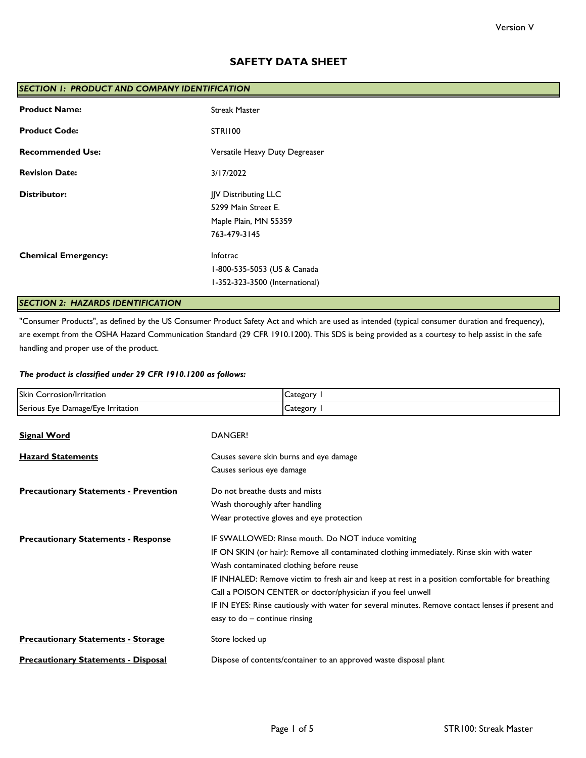# **SAFETY DATA SHEET**

| SECTION I: PRODUCT AND COMPANY IDENTIFICATION |                                |  |
|-----------------------------------------------|--------------------------------|--|
| <b>Product Name:</b>                          | <b>Streak Master</b>           |  |
| <b>Product Code:</b>                          | <b>STRI100</b>                 |  |
| <b>Recommended Use:</b>                       | Versatile Heavy Duty Degreaser |  |
| <b>Revision Date:</b>                         | 3/17/2022                      |  |
| <b>Distributor:</b><br>JJV Distributing LLC   |                                |  |
|                                               | 5299 Main Street E.            |  |
|                                               | Maple Plain, MN 55359          |  |
|                                               | 763-479-3145                   |  |
| <b>Chemical Emergency:</b>                    | Infotrac                       |  |
|                                               | 1-800-535-5053 (US & Canada    |  |
|                                               | I-352-323-3500 (International) |  |

# *SECTION 2: HAZARDS IDENTIFICATION*

"Consumer Products", as defined by the US Consumer Product Safety Act and which are used as intended (typical consumer duration and frequency), are exempt from the OSHA Hazard Communication Standard (29 CFR 1910.1200). This SDS is being provided as a courtesy to help assist in the safe handling and proper use of the product.

## *The product is classified under 29 CFR 1910.1200 as follows:*

| Skin Corrosion/Irritation                    | Category I                                                                                        |  |
|----------------------------------------------|---------------------------------------------------------------------------------------------------|--|
| Serious Eye Damage/Eye Irritation            | Category I                                                                                        |  |
| <b>Signal Word</b>                           | DANGER!                                                                                           |  |
| <b>Hazard Statements</b>                     | Causes severe skin burns and eye damage                                                           |  |
|                                              | Causes serious eye damage                                                                         |  |
| <b>Precautionary Statements - Prevention</b> | Do not breathe dusts and mists                                                                    |  |
|                                              | Wash thoroughly after handling                                                                    |  |
|                                              | Wear protective gloves and eye protection                                                         |  |
| <b>Precautionary Statements - Response</b>   | IF SWALLOWED: Rinse mouth. Do NOT induce vomiting                                                 |  |
|                                              | IF ON SKIN (or hair): Remove all contaminated clothing immediately. Rinse skin with water         |  |
|                                              | Wash contaminated clothing before reuse                                                           |  |
|                                              | IF INHALED: Remove victim to fresh air and keep at rest in a position comfortable for breathing   |  |
|                                              | Call a POISON CENTER or doctor/physician if you feel unwell                                       |  |
|                                              | IF IN EYES: Rinse cautiously with water for several minutes. Remove contact lenses if present and |  |
|                                              | easy to do - continue rinsing                                                                     |  |
| <b>Precautionary Statements - Storage</b>    | Store locked up                                                                                   |  |
| <b>Precautionary Statements - Disposal</b>   | Dispose of contents/container to an approved waste disposal plant                                 |  |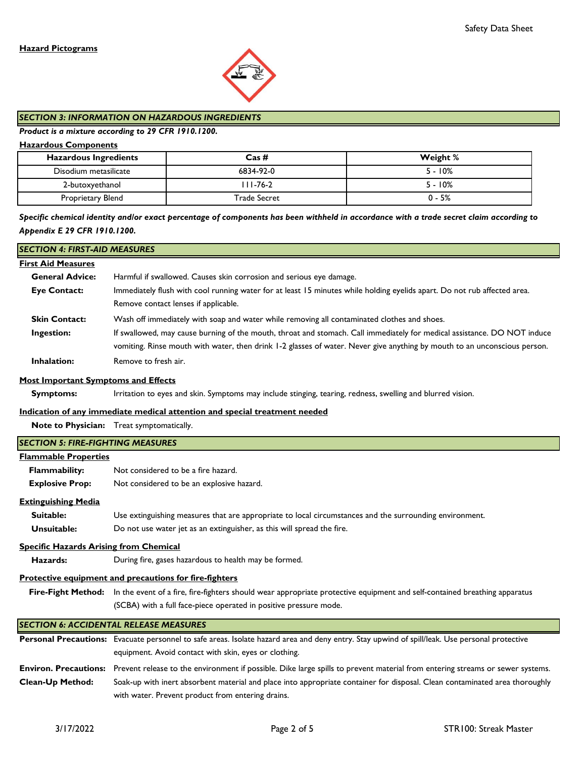

# *SECTION 3: INFORMATION ON HAZARDOUS INGREDIENTS*

## *Product is a mixture according to 29 CFR 1910.1200.*

## **Hazardous Components**

| <b>Hazardous Ingredients</b> | $\text{Cas}\,\#$ | Weight %  |
|------------------------------|------------------|-----------|
| Disodium metasilicate        | 6834-92-0        | $5 - 10%$ |
| 2-butoxyethanol              | III-76-2         | $5 - 10%$ |
| Proprietary Blend            | Trade Secret     | $0 - 5%$  |

# *Specific chemical identity and/or exact percentage of components has been withheld in accordance with a trade secret claim according to Appendix E 29 CFR 1910.1200.*

| <b>SECTION 4: FIRST-AID MEASURES</b>          |                                                                                                                                                     |  |  |
|-----------------------------------------------|-----------------------------------------------------------------------------------------------------------------------------------------------------|--|--|
| <b>First Aid Measures</b>                     |                                                                                                                                                     |  |  |
| <b>General Advice:</b>                        | Harmful if swallowed. Causes skin corrosion and serious eye damage.                                                                                 |  |  |
| <b>Eye Contact:</b>                           | Immediately flush with cool running water for at least 15 minutes while holding eyelids apart. Do not rub affected area.                            |  |  |
|                                               | Remove contact lenses if applicable.                                                                                                                |  |  |
| <b>Skin Contact:</b>                          | Wash off immediately with soap and water while removing all contaminated clothes and shoes.                                                         |  |  |
| Ingestion:                                    | If swallowed, may cause burning of the mouth, throat and stomach. Call immediately for medical assistance. DO NOT induce                            |  |  |
|                                               | vomiting. Rinse mouth with water, then drink 1-2 glasses of water. Never give anything by mouth to an unconscious person.                           |  |  |
| Inhalation:                                   | Remove to fresh air.                                                                                                                                |  |  |
| <b>Most Important Symptoms and Effects</b>    |                                                                                                                                                     |  |  |
| <b>Symptoms:</b>                              | Irritation to eyes and skin. Symptoms may include stinging, tearing, redness, swelling and blurred vision.                                          |  |  |
|                                               | Indication of any immediate medical attention and special treatment needed                                                                          |  |  |
|                                               | Note to Physician: Treat symptomatically.                                                                                                           |  |  |
| <b>SECTION 5: FIRE-FIGHTING MEASURES</b>      |                                                                                                                                                     |  |  |
| <b>Flammable Properties</b>                   |                                                                                                                                                     |  |  |
| Flammability:                                 | Not considered to be a fire hazard.                                                                                                                 |  |  |
| <b>Explosive Prop:</b>                        | Not considered to be an explosive hazard.                                                                                                           |  |  |
| <b>Extinguishing Media</b>                    |                                                                                                                                                     |  |  |
| Suitable:                                     | Use extinguishing measures that are appropriate to local circumstances and the surrounding environment.                                             |  |  |
| Unsuitable:                                   | Do not use water jet as an extinguisher, as this will spread the fire.                                                                              |  |  |
| <b>Specific Hazards Arising from Chemical</b> |                                                                                                                                                     |  |  |
| Hazards:                                      | During fire, gases hazardous to health may be formed.                                                                                               |  |  |
|                                               | <b>Protective equipment and precautions for fire-fighters</b>                                                                                       |  |  |
|                                               | Fire-Fight Method: In the event of a fire, fire-fighters should wear appropriate protective equipment and self-contained breathing apparatus        |  |  |
|                                               | (SCBA) with a full face-piece operated in positive pressure mode.                                                                                   |  |  |
|                                               | <b>SECTION 6: ACCIDENTAL RELEASE MEASURES</b>                                                                                                       |  |  |
|                                               | Personal Precautions: Evacuate personnel to safe areas. Isolate hazard area and deny entry. Stay upwind of spill/leak. Use personal protective      |  |  |
|                                               | equipment. Avoid contact with skin, eyes or clothing.                                                                                               |  |  |
|                                               | Environ. Precautions: Prevent release to the environment if possible. Dike large spills to prevent material from entering streams or sewer systems. |  |  |
| Clean-Up Method:                              | Soak-up with inert absorbent material and place into appropriate container for disposal. Clean contaminated area thoroughly                         |  |  |
|                                               | with water. Prevent product from entering drains.                                                                                                   |  |  |
|                                               |                                                                                                                                                     |  |  |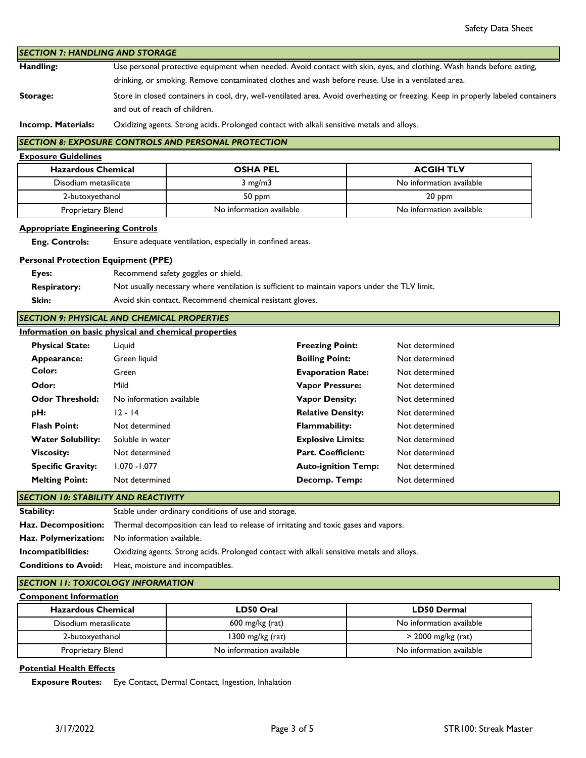|                                                                  |                                                                                                                                   |                                                                                               |                            | Safety Data Sheet        |
|------------------------------------------------------------------|-----------------------------------------------------------------------------------------------------------------------------------|-----------------------------------------------------------------------------------------------|----------------------------|--------------------------|
| <b>SECTION 7: HANDLING AND STORAGE</b>                           |                                                                                                                                   |                                                                                               |                            |                          |
| Handling:                                                        | Use personal protective equipment when needed. Avoid contact with skin, eyes, and clothing. Wash hands before eating,             |                                                                                               |                            |                          |
|                                                                  | drinking, or smoking. Remove contaminated clothes and wash before reuse. Use in a ventilated area.                                |                                                                                               |                            |                          |
| Storage:                                                         | Store in closed containers in cool, dry, well-ventilated area. Avoid overheating or freezing. Keep in properly labeled containers |                                                                                               |                            |                          |
|                                                                  | and out of reach of children.                                                                                                     |                                                                                               |                            |                          |
| Incomp. Materials:                                               |                                                                                                                                   | Oxidizing agents. Strong acids. Prolonged contact with alkali sensitive metals and alloys.    |                            |                          |
|                                                                  |                                                                                                                                   | <b>SECTION 8: EXPOSURE CONTROLS AND PERSONAL PROTECTION</b>                                   |                            |                          |
| <b>Exposure Guidelines</b>                                       |                                                                                                                                   |                                                                                               |                            |                          |
| <b>Hazardous Chemical</b>                                        |                                                                                                                                   | <b>OSHA PEL</b>                                                                               |                            | <b>ACGIH TLV</b>         |
| Disodium metasilicate                                            |                                                                                                                                   | $3$ mg/m $3$                                                                                  |                            | No information available |
| 2-butoxyethanol                                                  |                                                                                                                                   | 50 ppm                                                                                        |                            | 20 ppm                   |
| Proprietary Blend                                                |                                                                                                                                   | No information available                                                                      |                            | No information available |
|                                                                  |                                                                                                                                   |                                                                                               |                            |                          |
| <b>Appropriate Engineering Controls</b><br><b>Eng. Controls:</b> |                                                                                                                                   | Ensure adequate ventilation, especially in confined areas.                                    |                            |                          |
|                                                                  |                                                                                                                                   |                                                                                               |                            |                          |
| <b>Personal Protection Equipment (PPE)</b>                       |                                                                                                                                   |                                                                                               |                            |                          |
| Eyes:                                                            |                                                                                                                                   | Recommend safety goggles or shield.                                                           |                            |                          |
| <b>Respiratory:</b>                                              |                                                                                                                                   | Not usually necessary where ventilation is sufficient to maintain vapors under the TLV limit. |                            |                          |
| Skin:                                                            |                                                                                                                                   | Avoid skin contact. Recommend chemical resistant gloves.                                      |                            |                          |
| <b>SECTION 9: PHYSICAL AND CHEMICAL PROPERTIES</b>               |                                                                                                                                   |                                                                                               |                            |                          |
| Information on basic physical and chemical properties            |                                                                                                                                   |                                                                                               |                            |                          |
| <b>Physical State:</b>                                           | Liquid                                                                                                                            |                                                                                               | <b>Freezing Point:</b>     | Not determined           |
| Appearance:                                                      | Green liquid                                                                                                                      |                                                                                               | <b>Boiling Point:</b>      | Not determined           |
| Color:                                                           | Green                                                                                                                             |                                                                                               | <b>Evaporation Rate:</b>   | Not determined           |
| Odor:                                                            | Mild                                                                                                                              |                                                                                               | <b>Vapor Pressure:</b>     | Not determined           |
| <b>Odor Threshold:</b>                                           | <b>Vapor Density:</b><br>No information available                                                                                 |                                                                                               | Not determined             |                          |
| pH:                                                              | $12 - 14$<br><b>Relative Density:</b>                                                                                             |                                                                                               | Not determined             |                          |
| <b>Flash Point:</b>                                              | Not determined                                                                                                                    |                                                                                               | <b>Flammability:</b>       | Not determined           |
| <b>Water Solubility:</b>                                         | Soluble in water                                                                                                                  |                                                                                               | <b>Explosive Limits:</b>   | Not determined           |
| <b>Viscosity:</b>                                                | Not determined                                                                                                                    |                                                                                               | Part. Coefficient:         | Not determined           |
| <b>Specific Gravity:</b>                                         | $1.070 - 1.077$                                                                                                                   |                                                                                               | <b>Auto-ignition Temp:</b> | Not determined           |
| <b>Melting Point:</b>                                            | Decomp. Temp:<br>Not determined                                                                                                   |                                                                                               | Not determined             |                          |
| <b>SECTION 10: STABILITY AND REACTIVITY</b>                      |                                                                                                                                   |                                                                                               |                            |                          |
| <b>Stability:</b>                                                |                                                                                                                                   | Stable under ordinary conditions of use and storage.                                          |                            |                          |
| Haz. Decomposition:                                              | Thermal decomposition can lead to release of irritating and toxic gases and vapors.                                               |                                                                                               |                            |                          |
| Haz. Polymerization:                                             |                                                                                                                                   | No information available.                                                                     |                            |                          |
| Incompatibilities:                                               | Oxidizing agents. Strong acids. Prolonged contact with alkali sensitive metals and alloys.                                        |                                                                                               |                            |                          |
| <b>Conditions to Avoid:</b>                                      | Heat, moisture and incompatibles.                                                                                                 |                                                                                               |                            |                          |
| <b>SECTION 11: TOXICOLOGY INFORMATION</b>                        |                                                                                                                                   |                                                                                               |                            |                          |
| <b>Component Information</b>                                     |                                                                                                                                   |                                                                                               |                            |                          |
| <b>Hazardous Chemical</b>                                        |                                                                                                                                   | LD50 Oral                                                                                     |                            | <b>LD50 Dermal</b>       |
| Disodium metasilicate                                            |                                                                                                                                   | 600 mg/kg (rat)                                                                               |                            | No information available |
|                                                                  | 1300 mg/kg (rat)<br>2-butoxyethanol                                                                                               |                                                                                               |                            | > 2000 mg/kg (rat)       |

# **Potential Health Effects**

 **Exposure Routes:** Eye Contact, Dermal Contact, Ingestion, Inhalation

Proprietary Blend **No information available** No information available No information available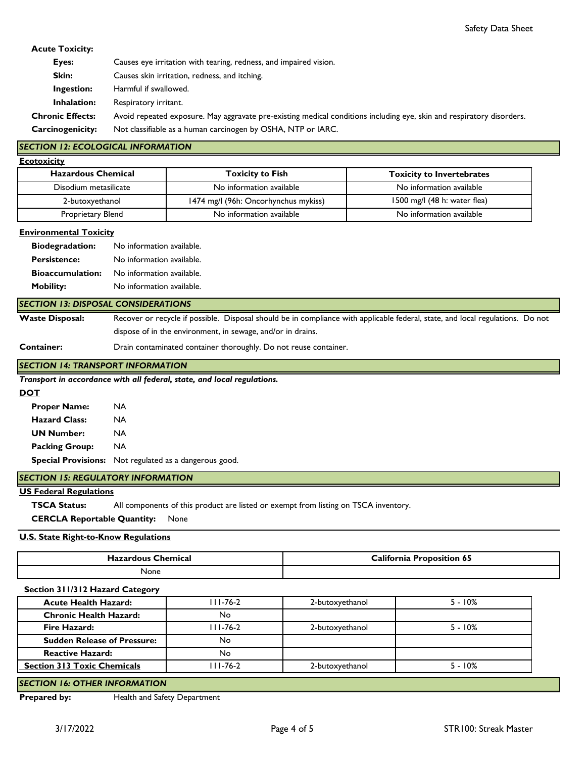## **Acute Toxicity:**

| Eyes:                   | Causes eye irritation with tearing, redness, and impaired vision.                                                     |
|-------------------------|-----------------------------------------------------------------------------------------------------------------------|
| Skin:                   | Causes skin irritation, redness, and itching.                                                                         |
| Ingestion:              | Harmful if swallowed.                                                                                                 |
| Inhalation:             | Respiratory irritant.                                                                                                 |
| <b>Chronic Effects:</b> | Avoid repeated exposure. May aggravate pre-existing medical conditions including eye, skin and respiratory disorders. |
| <b>Carcinogenicity:</b> | Not classifiable as a human carcinogen by OSHA, NTP or IARC.                                                          |

## *SECTION 12: ECOLOGICAL INFORMATION*

| <b>Ecotoxicity</b> |  |
|--------------------|--|
|                    |  |
|                    |  |

| <b>Hazardous Chemical</b> | <b>Toxicity to Fish</b>              | <b>Toxicity to Invertebrates</b> |
|---------------------------|--------------------------------------|----------------------------------|
| Disodium metasilicate     | No information available             | No information available         |
| 2-butoxyethanol           | 1474 mg/l (96h: Oncorhynchus mykiss) | 1500 mg/l $(48 h: water flea)$   |
| Proprietary Blend         | No information available             | No information available         |

#### **Environmental Toxicity**

| <b>Biodegradation:</b>  | No information available. |
|-------------------------|---------------------------|
| <b>Persistence:</b>     | No information available. |
| <b>Bioaccumulation:</b> | No information available. |
| <b>Mobility:</b>        | No information available. |

### *SECTION 13: DISPOSAL CONSIDERATIONS*

**Waste Disposal:** Recover or recycle if possible. Disposal should be in compliance with applicable federal, state, and local regulations. Do not dispose of in the environment, in sewage, and/or in drains.

**Container:**

Drain contaminated container thoroughly. Do not reuse container.

### *SECTION 14: TRANSPORT INFORMATION*

*Transport in accordance with all federal, state, and local regulations.* 

### **DOT**

 **Proper Name:** NA  **Hazard Class:** NA  **UN Number:** NA  **Packing Group:** NA  **Special Provisions:** Not regulated as a dangerous good.

## *SECTION 15: REGULATORY INFORMATION*

### **US Federal Regulations**

 **TSCA Status:** All components of this product are listed or exempt from listing on TSCA inventory.

 **CERCLA Reportable Quantity:** None

### **U.S. State Right-to-Know Regulations**

| Chemical<br>Hazardous C | <b>Lalifornia</b><br><b>Proposition 65</b> |  |
|-------------------------|--------------------------------------------|--|
| None                    |                                            |  |

### **Section 311/312 Hazard Category**

| <b>Acute Health Hazard:</b>        | III-76-2 | 2-butoxyethanol | $5 - 10%$ |
|------------------------------------|----------|-----------------|-----------|
| <b>Chronic Health Hazard:</b>      | No       |                 |           |
| <b>Fire Hazard:</b>                | 111-76-2 | 2-butoxyethanol | $5 - 10%$ |
| <b>Sudden Release of Pressure:</b> | No       |                 |           |
| <b>Reactive Hazard:</b>            | No       |                 |           |
| <b>Section 313 Toxic Chemicals</b> | 111-76-2 | 2-butoxyethanol | $5 - 10%$ |
|                                    |          |                 |           |

## *SECTION 16: OTHER INFORMATION*

**Prepared by:** Health and Safety Department